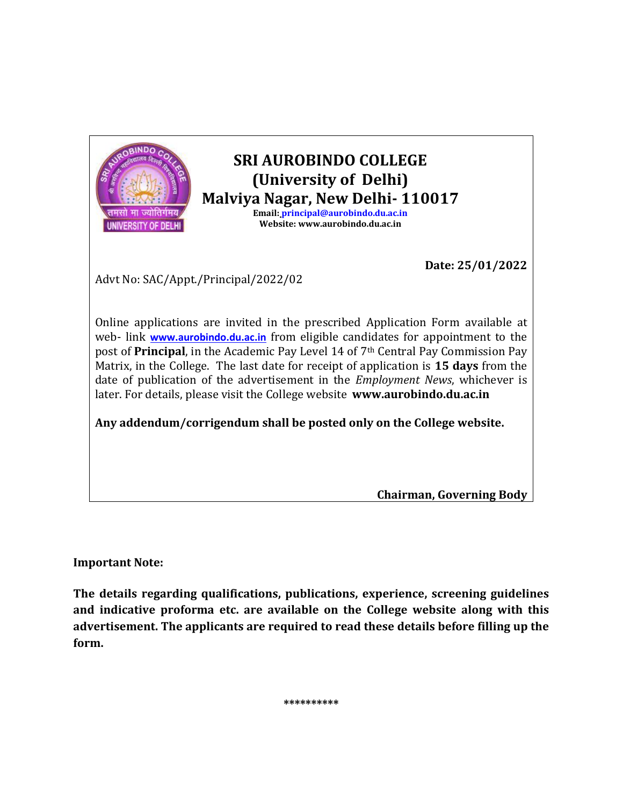

**Email: [principal@aurobindo.du.ac.in](mailto:principal@aurobindo.du.ac.in) Website: www.aurobindo.du.ac.in**

**Date: 25/01/2022**

Advt No: SAC/Appt./Principal/2022/02

Online applications are invited in the prescribed Application Form available at web- link **[www.aurobindo.du.ac.in](http://www.aurobindo.du.ac.in/)** from eligible candidates for appointment to the post of **Principal**, in the Academic Pay Level 14 of 7th Central Pay Commission Pay Matrix, in the College. The last date for receipt of application is **15 days** from the date of publication of the advertisement in the *Employment News*, whichever is later. For details, please visit the College website **www.aurobindo.du.ac.in**

**Any addendum/corrigendum shall be posted only on the College website.**

**Chairman, Governing Body**

**Important Note:**

**The details regarding qualifications, publications, experience, screening guidelines and indicative proforma etc. are available on the College website along with this advertisement. The applicants are required to read these details before filling up the form.**

**\*\*\*\*\*\*\*\*\*\***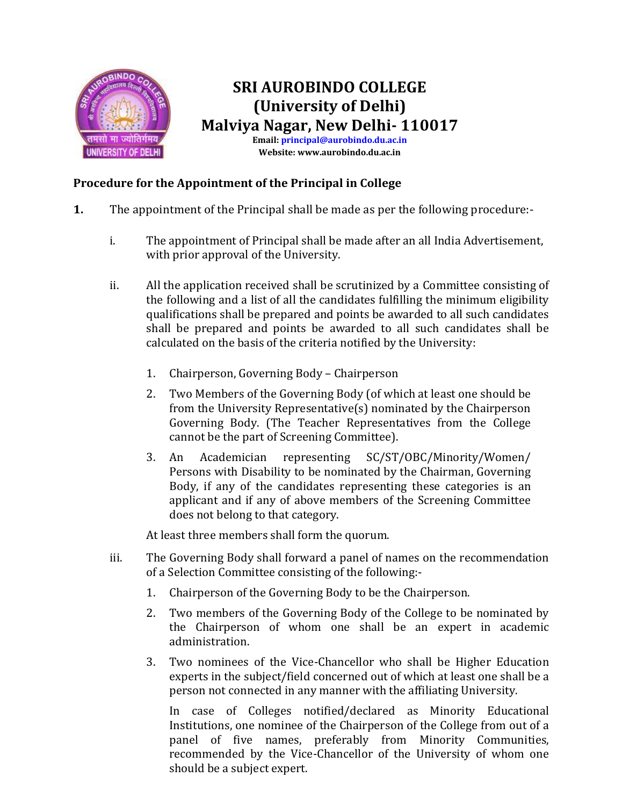

### **SRI AUROBINDO COLLEGE (University of Delhi) Malviya Nagar, New Delhi- 110017 Email[: principal@aurobindo.du.ac.in](mailto:principal@aurobindo.du.ac.in) Website: www.aurobindo.du.ac.in**

### **Procedure for the Appointment of the Principal in College**

- **1.** The appointment of the Principal shall be made as per the following procedure:
	- i. The appointment of Principal shall be made after an all India Advertisement, with prior approval of the University.
	- ii. All the application received shall be scrutinized by a Committee consisting of the following and a list of all the candidates fulfilling the minimum eligibility qualifications shall be prepared and points be awarded to all such candidates shall be prepared and points be awarded to all such candidates shall be calculated on the basis of the criteria notified by the University:
		- 1. Chairperson, Governing Body Chairperson
		- 2. Two Members of the Governing Body (of which at least one should be from the University Representative(s) nominated by the Chairperson Governing Body. (The Teacher Representatives from the College cannot be the part of Screening Committee).
		- 3. An Academician representing SC/ST/OBC/Minority/Women/ Persons with Disability to be nominated by the Chairman, Governing Body, if any of the candidates representing these categories is an applicant and if any of above members of the Screening Committee does not belong to that category.

At least three members shall form the quorum.

- iii. The Governing Body shall forward a panel of names on the recommendation of a Selection Committee consisting of the following:-
	- 1. Chairperson of the Governing Body to be the Chairperson.
	- 2. Two members of the Governing Body of the College to be nominated by the Chairperson of whom one shall be an expert in academic administration.
	- 3. Two nominees of the Vice-Chancellor who shall be Higher Education experts in the subject/field concerned out of which at least one shall be a person not connected in any manner with the affiliating University.

In case of Colleges notified/declared as Minority Educational Institutions, one nominee of the Chairperson of the College from out of a panel of five names, preferably from Minority Communities, recommended by the Vice-Chancellor of the University of whom one should be a subject expert.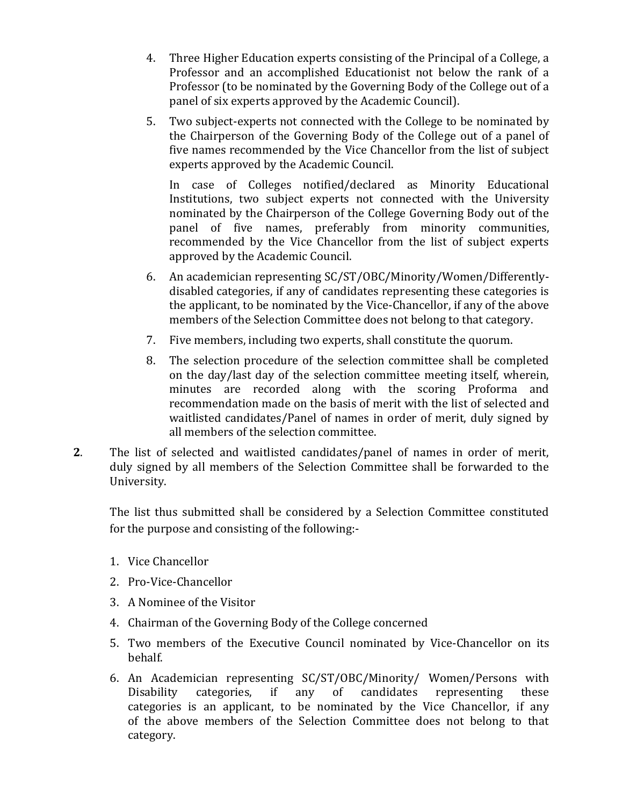- 4. Three Higher Education experts consisting of the Principal of a College, a Professor and an accomplished Educationist not below the rank of a Professor (to be nominated by the Governing Body of the College out of a panel of six experts approved by the Academic Council).
- 5. Two subject-experts not connected with the College to be nominated by the Chairperson of the Governing Body of the College out of a panel of five names recommended by the Vice Chancellor from the list of subject experts approved by the Academic Council.

In case of Colleges notified/declared as Minority Educational Institutions, two subject experts not connected with the University nominated by the Chairperson of the College Governing Body out of the panel of five names, preferably from minority communities, recommended by the Vice Chancellor from the list of subject experts approved by the Academic Council.

- 6. An academician representing SC/ST/OBC/Minority/Women/Differentlydisabled categories, if any of candidates representing these categories is the applicant, to be nominated by the Vice-Chancellor, if any of the above members of the Selection Committee does not belong to that category.
- 7. Five members, including two experts, shall constitute the quorum.
- 8. The selection procedure of the selection committee shall be completed on the day/last day of the selection committee meeting itself, wherein, minutes are recorded along with the scoring Proforma and recommendation made on the basis of merit with the list of selected and waitlisted candidates/Panel of names in order of merit, duly signed by all members of the selection committee.
- **2**. The list of selected and waitlisted candidates/panel of names in order of merit, duly signed by all members of the Selection Committee shall be forwarded to the University.

The list thus submitted shall be considered by a Selection Committee constituted for the purpose and consisting of the following:-

- 1. Vice Chancellor
- 2. Pro-Vice-Chancellor
- 3. A Nominee of the Visitor
- 4. Chairman of the Governing Body of the College concerned
- 5. Two members of the Executive Council nominated by Vice-Chancellor on its behalf.
- 6. An Academician representing SC/ST/OBC/Minority/ Women/Persons with Disability categories, if any of candidates representing these categories is an applicant, to be nominated by the Vice Chancellor, if any of the above members of the Selection Committee does not belong to that category.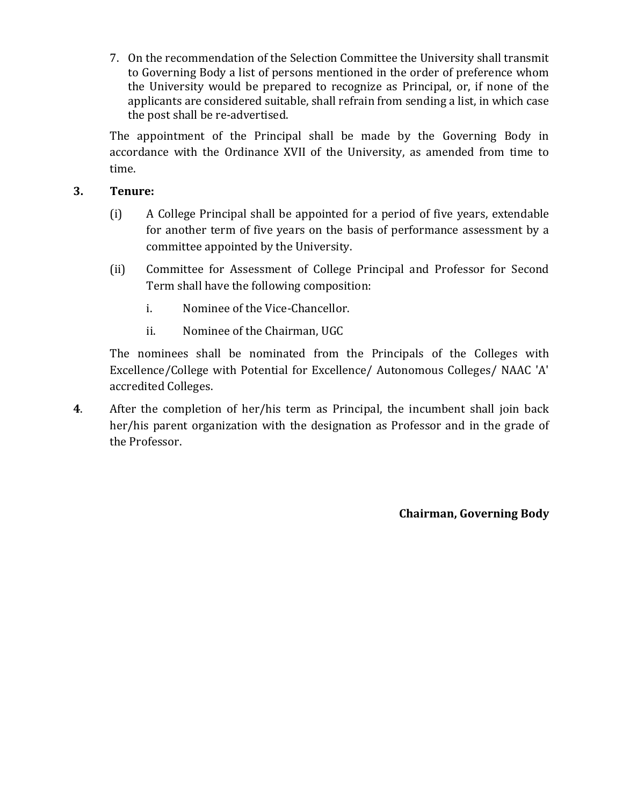7. On the recommendation of the Selection Committee the University shall transmit to Governing Body a list of persons mentioned in the order of preference whom the University would be prepared to recognize as Principal, or, if none of the applicants are considered suitable, shall refrain from sending a list, in which case the post shall be re-advertised.

The appointment of the Principal shall be made by the Governing Body in accordance with the Ordinance XVII of the University, as amended from time to time.

### **3. Tenure:**

- (i) A College Principal shall be appointed for a period of five years, extendable for another term of five years on the basis of performance assessment by a committee appointed by the University.
- (ii) Committee for Assessment of College Principal and Professor for Second Term shall have the following composition:
	- i. Nominee of the Vice-Chancellor.
	- ii. Nominee of the Chairman, UGC

The nominees shall be nominated from the Principals of the Colleges with Excellence/College with Potential for Excellence/ Autonomous Colleges/ NAAC 'A' accredited Colleges.

**4**. After the completion of her/his term as Principal, the incumbent shall join back her/his parent organization with the designation as Professor and in the grade of the Professor.

**Chairman, Governing Body**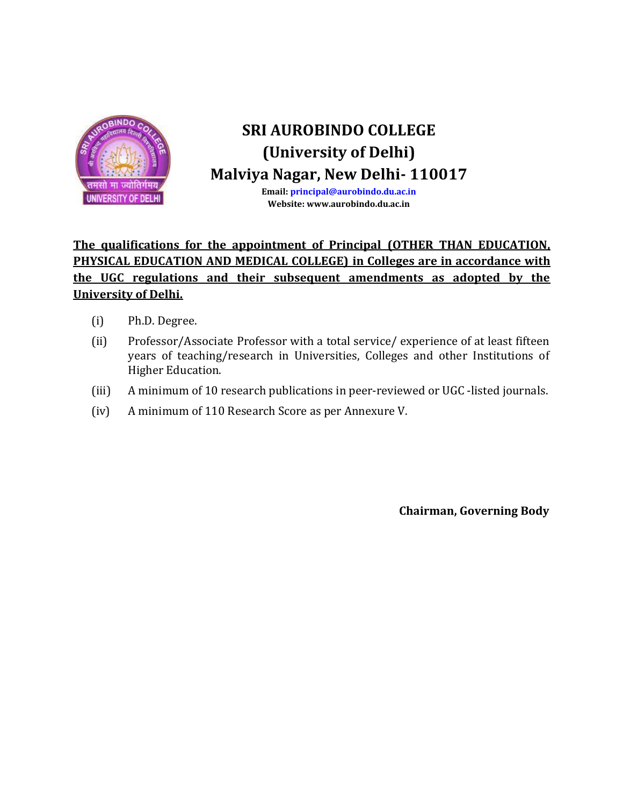

**Email[: principal@aurobindo.du.ac.in](mailto:principal@aurobindo.du.ac.in) Website: www.aurobindo.du.ac.in**

### **The qualifications for the appointment of Principal (OTHER THAN EDUCATION, PHYSICAL EDUCATION AND MEDICAL COLLEGE) in Colleges are in accordance with the UGC regulations and their subsequent amendments as adopted by the University of Delhi.**

- (i) Ph.D. Degree.
- (ii) Professor/Associate Professor with a total service/ experience of at least fifteen years of teaching/research in Universities, Colleges and other Institutions of Higher Education.
- (iii) A minimum of 10 research publications in peer-reviewed or UGC -listed journals.
- (iv) A minimum of 110 Research Score as per Annexure V.

**Chairman, Governing Body**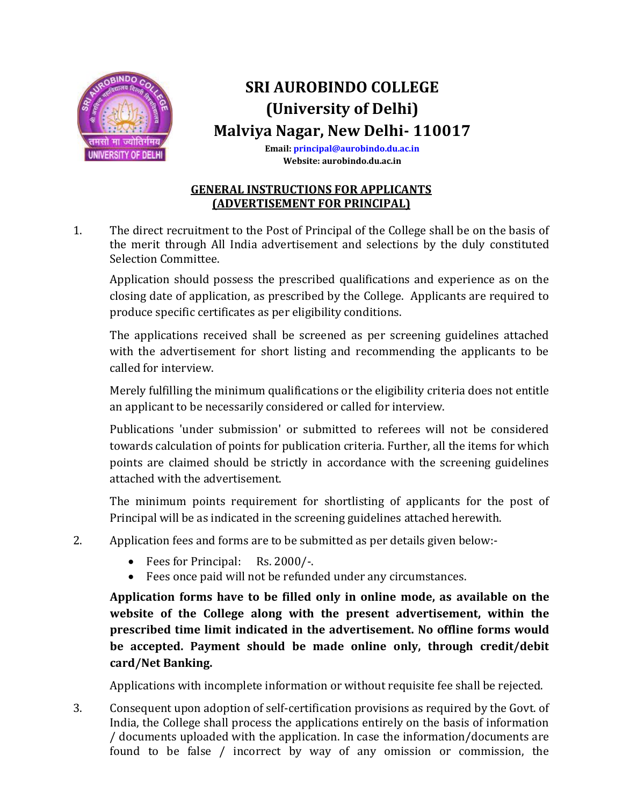

**Email[: principal@aurobindo.du.ac.in](mailto:principal@aurobindo.du.ac.in) Website: aurobindo.du.ac.in**

### **GENERAL INSTRUCTIONS FOR APPLICANTS (ADVERTISEMENT FOR PRINCIPAL)**

1. The direct recruitment to the Post of Principal of the College shall be on the basis of the merit through All India advertisement and selections by the duly constituted Selection Committee.

Application should possess the prescribed qualifications and experience as on the closing date of application, as prescribed by the College. Applicants are required to produce specific certificates as per eligibility conditions.

The applications received shall be screened as per screening guidelines attached with the advertisement for short listing and recommending the applicants to be called for interview.

Merely fulfilling the minimum qualifications or the eligibility criteria does not entitle an applicant to be necessarily considered or called for interview.

Publications 'under submission' or submitted to referees will not be considered towards calculation of points for publication criteria. Further, all the items for which points are claimed should be strictly in accordance with the screening guidelines attached with the advertisement.

The minimum points requirement for shortlisting of applicants for the post of Principal will be as indicated in the screening guidelines attached herewith.

- 2. Application fees and forms are to be submitted as per details given below:-
	- Fees for Principal: Rs. 2000/-.
	- Fees once paid will not be refunded under any circumstances.

**Application forms have to be filled only in online mode, as available on the website of the College along with the present advertisement, within the prescribed time limit indicated in the advertisement. No offline forms would be accepted. Payment should be made online only, through credit/debit card/Net Banking.**

Applications with incomplete information or without requisite fee shall be rejected.

3. Consequent upon adoption of self-certification provisions as required by the Govt. of India, the College shall process the applications entirely on the basis of information / documents uploaded with the application. In case the information/documents are found to be false / incorrect by way of any omission or commission, the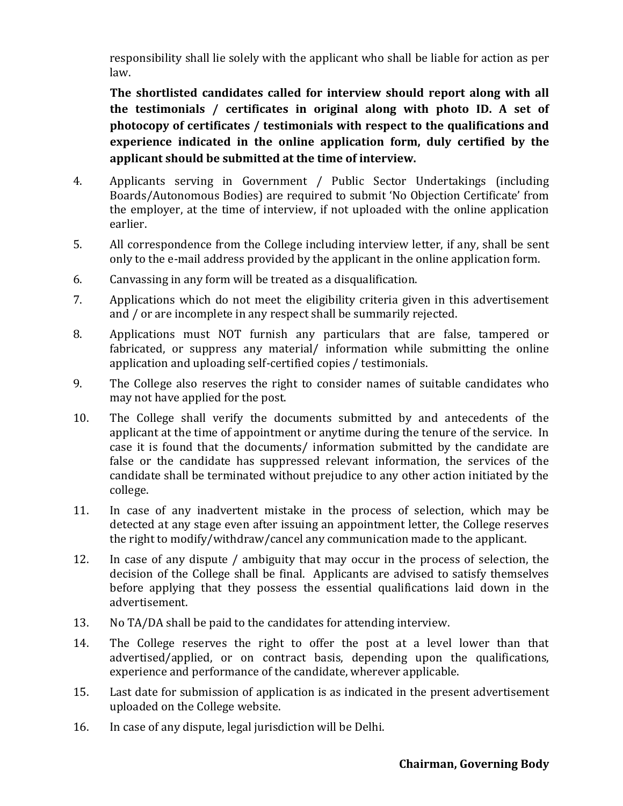responsibility shall lie solely with the applicant who shall be liable for action as per law.

**The shortlisted candidates called for interview should report along with all the testimonials / certificates in original along with photo ID. A set of photocopy of certificates / testimonials with respect to the qualifications and experience indicated in the online application form, duly certified by the applicant should be submitted at the time of interview.**

- 4. Applicants serving in Government / Public Sector Undertakings (including Boards/Autonomous Bodies) are required to submit 'No Objection Certificate' from the employer, at the time of interview, if not uploaded with the online application earlier.
- 5. All correspondence from the College including interview letter, if any, shall be sent only to the e-mail address provided by the applicant in the online application form.
- 6. Canvassing in any form will be treated as a disqualification.
- 7. Applications which do not meet the eligibility criteria given in this advertisement and / or are incomplete in any respect shall be summarily rejected.
- 8. Applications must NOT furnish any particulars that are false, tampered or fabricated, or suppress any material/ information while submitting the online application and uploading self-certified copies / testimonials.
- 9. The College also reserves the right to consider names of suitable candidates who may not have applied for the post.
- 10. The College shall verify the documents submitted by and antecedents of the applicant at the time of appointment or anytime during the tenure of the service. In case it is found that the documents/ information submitted by the candidate are false or the candidate has suppressed relevant information, the services of the candidate shall be terminated without prejudice to any other action initiated by the college.
- 11. In case of any inadvertent mistake in the process of selection, which may be detected at any stage even after issuing an appointment letter, the College reserves the right to modify/withdraw/cancel any communication made to the applicant.
- 12. In case of any dispute / ambiguity that may occur in the process of selection, the decision of the College shall be final. Applicants are advised to satisfy themselves before applying that they possess the essential qualifications laid down in the advertisement.
- 13. No TA/DA shall be paid to the candidates for attending interview.
- 14. The College reserves the right to offer the post at a level lower than that advertised/applied, or on contract basis, depending upon the qualifications, experience and performance of the candidate, wherever applicable.
- 15. Last date for submission of application is as indicated in the present advertisement uploaded on the College website.
- 16. In case of any dispute, legal jurisdiction will be Delhi.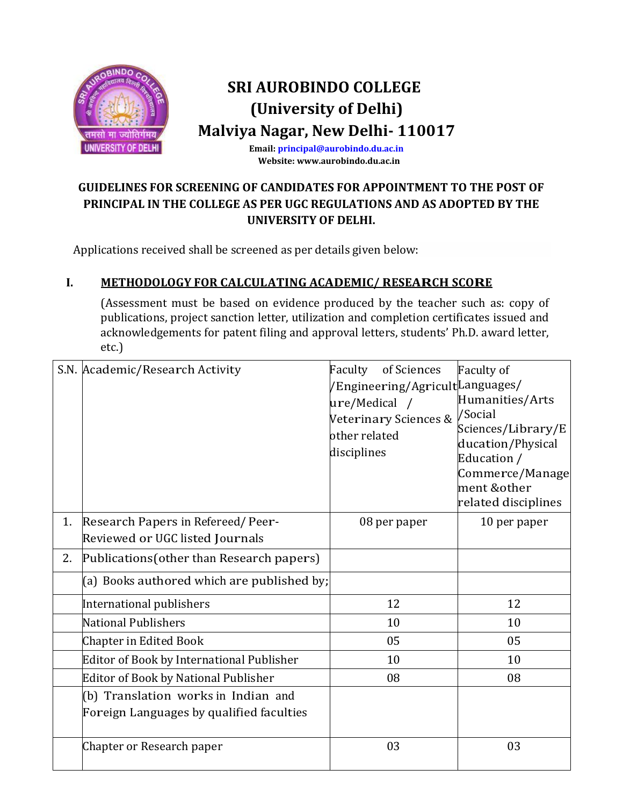

**Email[: principal@aurobindo.du.ac.in](mailto:principal@aurobindo.du.ac.in) Website: www.aurobindo.du.ac.in**

### **GUIDELINES FOR SCREENING OF CANDIDATES FOR APPOINTMENT TO THE POST OF PRINCIPAL IN THE COLLEGE AS PER UGC REGULATIONS AND AS ADOPTED BY THE UNIVERSITY OF DELHI.**

Applications received shall be screened as per details given below:

### **I. METHODOLOGY FOR CALCULATING ACADEMIC/ RESEARCH SCORE**

(Assessment must be based on evidence produced by the teacher such as: copy of publications, project sanction letter, utilization and completion certificates issued and acknowledgements for patent filing and approval letters, students' Ph.D. award letter, etc.)

|    | S.N. Academic/Research Activity                                                 | Faculty<br>of Sciences<br>/Engineering/Agricult <i>Languages/</i><br>ure/Medical /<br>Veterinary Sciences &<br>other related<br>disciplines | <b>Faculty of</b><br>Humanities/Arts<br>/Social<br>Sciences/Library/E<br>ducation/Physical<br>Education /<br>Commerce/Manage<br>ment &other<br>related disciplines |
|----|---------------------------------------------------------------------------------|---------------------------------------------------------------------------------------------------------------------------------------------|--------------------------------------------------------------------------------------------------------------------------------------------------------------------|
| 1. | Research Papers in Refereed/Peer-<br>Reviewed or UGC listed Journals            | 08 per paper                                                                                                                                | 10 per paper                                                                                                                                                       |
| 2. | Publications (other than Research papers)                                       |                                                                                                                                             |                                                                                                                                                                    |
|    | (a) Books authored which are published by;                                      |                                                                                                                                             |                                                                                                                                                                    |
|    | International publishers                                                        | 12                                                                                                                                          | 12                                                                                                                                                                 |
|    | <b>National Publishers</b>                                                      | 10                                                                                                                                          | 10                                                                                                                                                                 |
|    | Chapter in Edited Book                                                          | 05                                                                                                                                          | 05                                                                                                                                                                 |
|    | <b>Editor of Book by International Publisher</b>                                | 10                                                                                                                                          | 10                                                                                                                                                                 |
|    | <b>Editor of Book by National Publisher</b>                                     | 08                                                                                                                                          | 08                                                                                                                                                                 |
|    | (b) Translation works in Indian and<br>Foreign Languages by qualified faculties |                                                                                                                                             |                                                                                                                                                                    |
|    | Chapter or Research paper                                                       | 03                                                                                                                                          | 03                                                                                                                                                                 |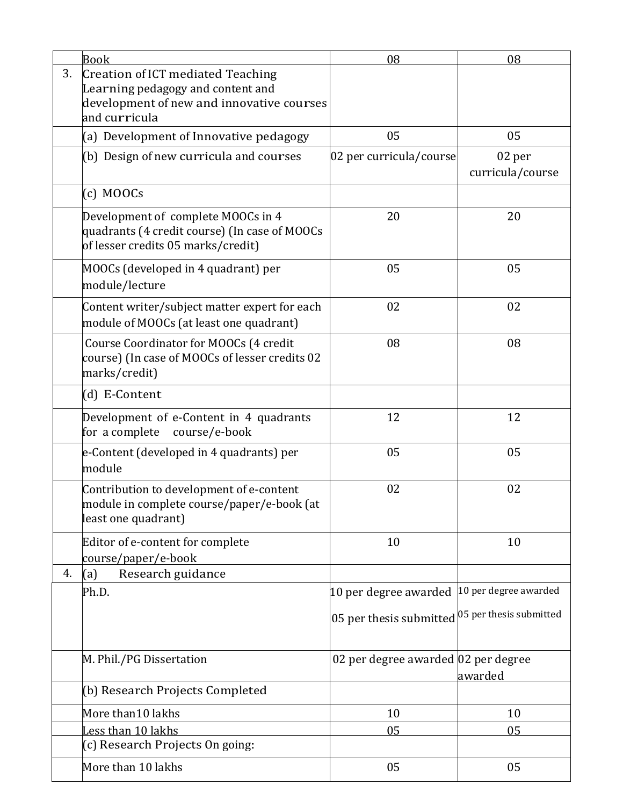|    | <b>Book</b>                                                                              | 08                                                 | 08                    |
|----|------------------------------------------------------------------------------------------|----------------------------------------------------|-----------------------|
| 3. | Creation of ICT mediated Teaching                                                        |                                                    |                       |
|    | Learning pedagogy and content and<br>development of new and innovative courses           |                                                    |                       |
|    | and curricula                                                                            |                                                    |                       |
|    | (a) Development of Innovative pedagogy                                                   | 05                                                 | 05                    |
|    | (b) Design of new curricula and courses                                                  | 02 per curricula/course                            | 02 per                |
|    |                                                                                          |                                                    | curricula/course      |
|    | $(c)$ MOOCs                                                                              |                                                    |                       |
|    | Development of complete MOOCs in 4                                                       | 20                                                 | 20                    |
|    | quadrants (4 credit course) (In case of MOOCs<br>of lesser credits 05 marks/credit)      |                                                    |                       |
|    |                                                                                          |                                                    |                       |
|    | MOOCs (developed in 4 quadrant) per                                                      | 05                                                 | 05                    |
|    | module/lecture                                                                           |                                                    |                       |
|    | Content writer/subject matter expert for each                                            | 02                                                 | 02                    |
|    | module of MOOCs (at least one quadrant)                                                  |                                                    |                       |
|    | Course Coordinator for MOOCs (4 credit<br>course) (In case of MOOCs of lesser credits 02 | 08                                                 | 08                    |
|    | marks/credit)                                                                            |                                                    |                       |
|    | (d) E-Content                                                                            |                                                    |                       |
|    |                                                                                          | 12                                                 | 12                    |
|    | Development of e-Content in 4 quadrants<br>for a complete<br>course/e-book               |                                                    |                       |
|    | e-Content (developed in 4 quadrants) per                                                 | 05                                                 | 05                    |
|    | module                                                                                   |                                                    |                       |
|    | Contribution to development of e-content                                                 | 02                                                 | 02                    |
|    | module in complete course/paper/e-book (at                                               |                                                    |                       |
|    | least one quadrant)                                                                      |                                                    |                       |
|    | Editor of e-content for complete                                                         | 10                                                 | 10                    |
| 4. | course/paper/e-book                                                                      |                                                    |                       |
|    | Research guidance<br>(a)<br>Ph.D.                                                        | 10 per degree awarded                              | 10 per degree awarded |
|    |                                                                                          |                                                    |                       |
|    |                                                                                          | 05 per thesis submitted $ 05$ per thesis submitted |                       |
|    |                                                                                          |                                                    |                       |
|    | M. Phil./PG Dissertation                                                                 | 02 per degree awarded 02 per degree                |                       |
|    |                                                                                          |                                                    | awarded               |
|    | (b) Research Projects Completed                                                          |                                                    |                       |
|    | More than10 lakhs                                                                        | 10                                                 | 10                    |
|    | Less than 10 lakhs                                                                       | 05                                                 | 05                    |
|    | (c) Research Projects On going:                                                          |                                                    |                       |
|    | More than 10 lakhs                                                                       | 05                                                 | 05                    |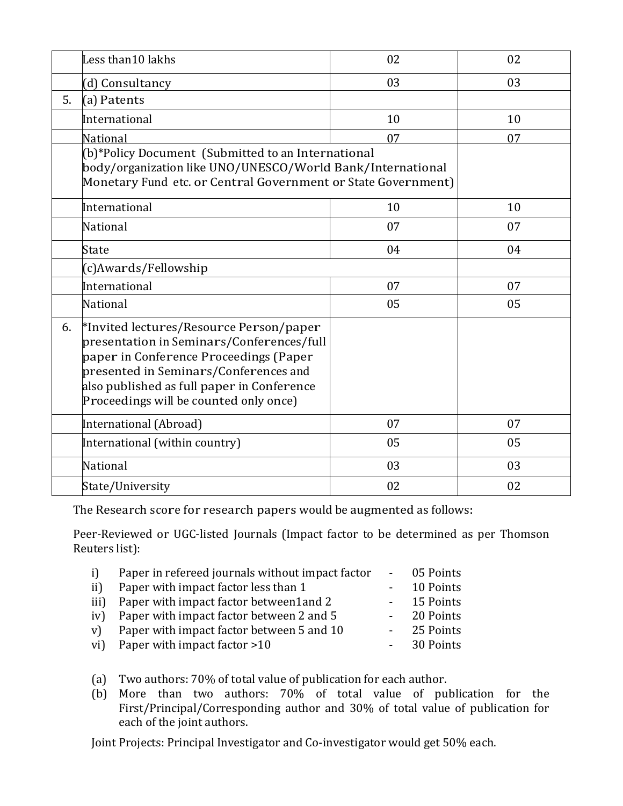|    | Less than10 lakhs                                                                                                                                                                                                                                               | 02 | 02 |
|----|-----------------------------------------------------------------------------------------------------------------------------------------------------------------------------------------------------------------------------------------------------------------|----|----|
|    | (d) Consultancy                                                                                                                                                                                                                                                 | 03 | 03 |
| 5. | (a) Patents                                                                                                                                                                                                                                                     |    |    |
|    | International                                                                                                                                                                                                                                                   | 10 | 10 |
|    | National                                                                                                                                                                                                                                                        | 07 | 07 |
|    | (b)*Policy Document (Submitted to an International<br>body/organization like UNO/UNESCO/World Bank/International<br>Monetary Fund etc. or Central Government or State Government)                                                                               |    |    |
|    | International                                                                                                                                                                                                                                                   | 10 | 10 |
|    | National                                                                                                                                                                                                                                                        | 07 | 07 |
|    | State                                                                                                                                                                                                                                                           | 04 | 04 |
|    | (c)Awards/Fellowship                                                                                                                                                                                                                                            |    |    |
|    | International                                                                                                                                                                                                                                                   | 07 | 07 |
|    | <b>National</b>                                                                                                                                                                                                                                                 | 05 | 05 |
| 6. | *Invited lectures/Resource Person/paper<br>presentation in Seminars/Conferences/full<br>paper in Conference Proceedings (Paper<br>presented in Seminars/Conferences and<br>also published as full paper in Conference<br>Proceedings will be counted only once) |    |    |
|    | International (Abroad)                                                                                                                                                                                                                                          | 07 | 07 |
|    | International (within country)                                                                                                                                                                                                                                  | 05 | 05 |
|    | National                                                                                                                                                                                                                                                        | 03 | 03 |
|    | State/University                                                                                                                                                                                                                                                | 02 | 02 |

The Research score for research papers would be augmented as follows:

Peer-Reviewed or UGC-listed Journals (Impact factor to be determined as per Thomson Reuters list):

| i)   | Paper in refereed journals without impact factor | - 05 Points |
|------|--------------------------------------------------|-------------|
| ii)  | Paper with impact factor less than 1             | 10 Points   |
| iii) | Paper with impact factor between1 and 2          | - 15 Points |
|      | iv) Paper with impact factor between 2 and 5     | - 20 Points |
| V    | Paper with impact factor between 5 and 10        | - 25 Points |
|      | vi) Paper with impact factor > 10                | - 30 Points |
|      |                                                  |             |

- (a) Two authors: 70% of total value of publication for each author.
- (b) More than two authors: 70% of total value of publication for the First/Principal/Corresponding author and 30% of total value of publication for each of the joint authors.

Joint Projects: Principal Investigator and Co-investigator would get 50% each.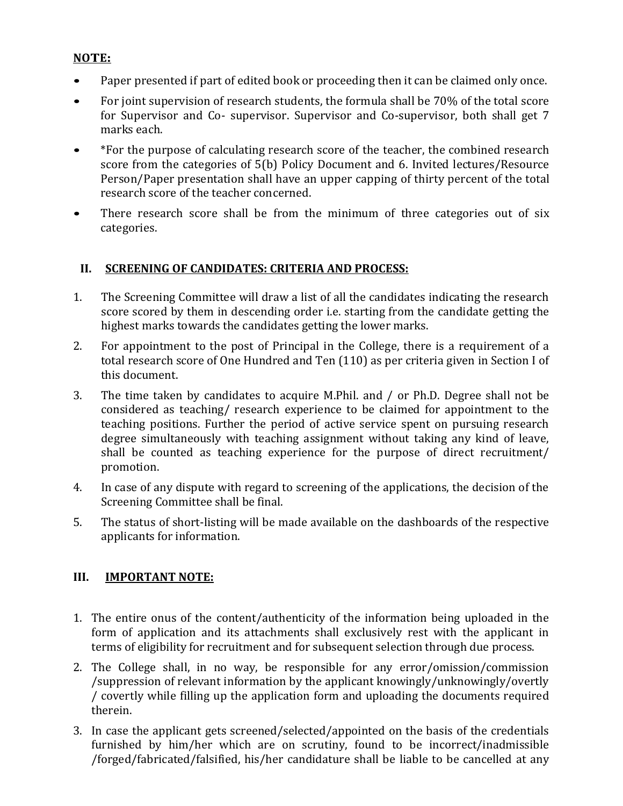### **NOTE:**

- Paper presented if part of edited book or proceeding then it can be claimed only once.
- For joint supervision of research students, the formula shall be 70% of the total score for Supervisor and Co- supervisor. Supervisor and Co-supervisor, both shall get 7 marks each.
- \*For the purpose of calculating research score of the teacher, the combined research score from the categories of 5(b) Policy Document and 6. Invited lectures/Resource Person/Paper presentation shall have an upper capping of thirty percent of the total research score of the teacher concerned.
- There research score shall be from the minimum of three categories out of six categories.

### **II. SCREENING OF CANDIDATES: CRITERIA AND PROCESS:**

- 1. The Screening Committee will draw a list of all the candidates indicating the research score scored by them in descending order i.e. starting from the candidate getting the highest marks towards the candidates getting the lower marks.
- 2. For appointment to the post of Principal in the College, there is a requirement of a total research score of One Hundred and Ten (110) as per criteria given in Section I of this document.
- 3. The time taken by candidates to acquire M.Phil. and / or Ph.D. Degree shall not be considered as teaching/ research experience to be claimed for appointment to the teaching positions. Further the period of active service spent on pursuing research degree simultaneously with teaching assignment without taking any kind of leave, shall be counted as teaching experience for the purpose of direct recruitment/ promotion.
- 4. In case of any dispute with regard to screening of the applications, the decision of the Screening Committee shall be final.
- 5. The status of short-listing will be made available on the dashboards of the respective applicants for information.

### **III. IMPORTANT NOTE:**

- 1. The entire onus of the content/authenticity of the information being uploaded in the form of application and its attachments shall exclusively rest with the applicant in terms of eligibility for recruitment and for subsequent selection through due process.
- 2. The College shall, in no way, be responsible for any error/omission/commission /suppression of relevant information by the applicant knowingly/unknowingly/overtly / covertly while filling up the application form and uploading the documents required therein.
- 3. In case the applicant gets screened/selected/appointed on the basis of the credentials furnished by him/her which are on scrutiny, found to be incorrect/inadmissible /forged/fabricated/falsified, his/her candidature shall be liable to be cancelled at any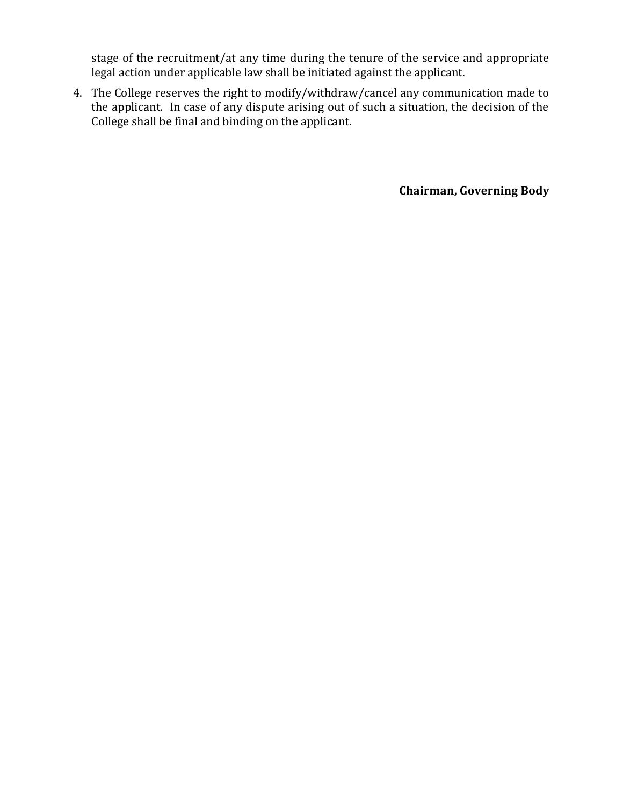stage of the recruitment/at any time during the tenure of the service and appropriate legal action under applicable law shall be initiated against the applicant.

4. The College reserves the right to modify/withdraw/cancel any communication made to the applicant. In case of any dispute arising out of such a situation, the decision of the College shall be final and binding on the applicant.

**Chairman, Governing Body**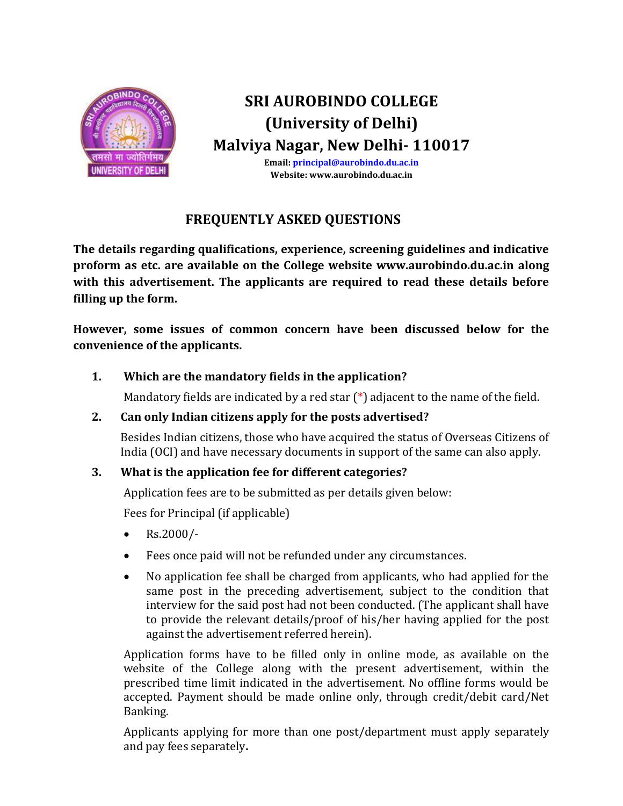

**Email: [principal@aurobindo.du.ac.in](mailto:principal@aurobindo.du.ac.in) Website: www.aurobindo.du.ac.in**

### **FREQUENTLY ASKED QUESTIONS**

**The details regarding qualifications, experience, screening guidelines and indicative proform as etc. are available on the College website www.aurobindo.du.ac.in along with this advertisement. The applicants are required to read these details before filling up the form.**

**However, some issues of common concern have been discussed below for the convenience of the applicants.**

### **1. Which are the mandatory fields in the application?**

Mandatory fields are indicated by a red star  $(*)$  adjacent to the name of the field.

### **2. Can only Indian citizens apply for the posts advertised?**

Besides Indian citizens, those who have acquired the status of Overseas Citizens of India (OCI) and have necessary documents in support of the same can also apply.

### **3. What is the application fee for different categories?**

Application fees are to be submitted as per details given below:

Fees for Principal (if applicable)

- $\text{Rs.2000/-}$
- Fees once paid will not be refunded under any circumstances.
- No application fee shall be charged from applicants, who had applied for the same post in the preceding advertisement, subject to the condition that interview for the said post had not been conducted. (The applicant shall have to provide the relevant details/proof of his/her having applied for the post against the advertisement referred herein).

Application forms have to be filled only in online mode, as available on the website of the College along with the present advertisement, within the prescribed time limit indicated in the advertisement. No offline forms would be accepted. Payment should be made online only, through credit/debit card/Net Banking.

Applicants applying for more than one post/department must apply separately and pay fees separately**.**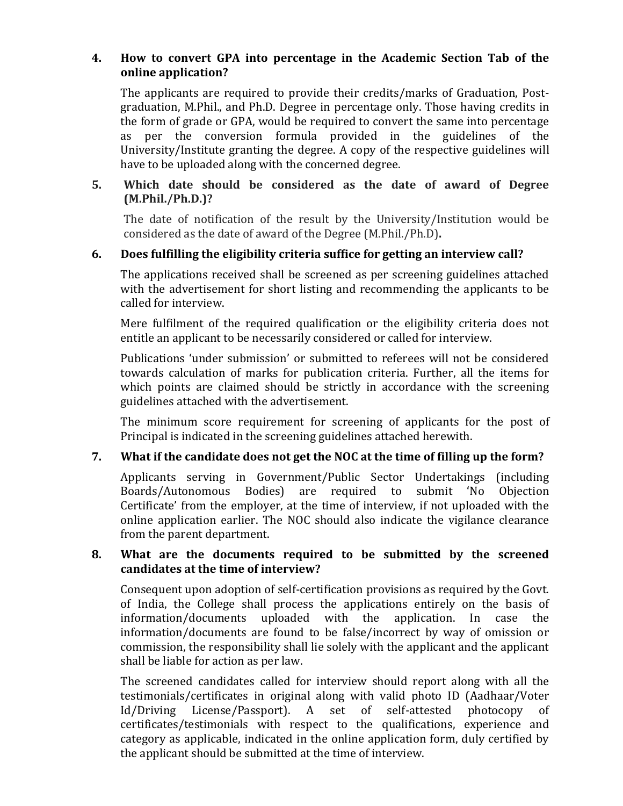#### **4. How to convert GPA into percentage in the Academic Section Tab of the online application?**

The applicants are required to provide their credits/marks of Graduation, Postgraduation, M.Phil., and Ph.D. Degree in percentage only. Those having credits in the form of grade or GPA, would be required to convert the same into percentage as per the conversion formula provided in the guidelines of the University/Institute granting the degree. A copy of the respective guidelines will have to be uploaded along with the concerned degree.

### **5. Which date should be considered as the date of award of Degree (M.Phil./Ph.D.)?**

The date of notification of the result by the University/Institution would be considered as the date of award of the Degree (M.Phil./Ph.D)**.**

### **6. Does fulfilling the eligibility criteria suffice for getting an interview call?**

The applications received shall be screened as per screening guidelines attached with the advertisement for short listing and recommending the applicants to be called for interview.

Mere fulfilment of the required qualification or the eligibility criteria does not entitle an applicant to be necessarily considered or called for interview.

Publications 'under submission' or submitted to referees will not be considered towards calculation of marks for publication criteria. Further, all the items for which points are claimed should be strictly in accordance with the screening guidelines attached with the advertisement.

The minimum score requirement for screening of applicants for the post of Principal is indicated in the screening guidelines attached herewith.

### **7. What if the candidate does not get the NOC at the time of filling up the form?**

Applicants serving in Government/Public Sector Undertakings (including Boards/Autonomous Bodies) are required to submit 'No Objection Certificate' from the employer, at the time of interview, if not uploaded with the online application earlier. The NOC should also indicate the vigilance clearance from the parent department.

#### **8. What are the documents required to be submitted by the screened candidates at the time of interview?**

Consequent upon adoption of self-certification provisions as required by the Govt. of India, the College shall process the applications entirely on the basis of information/documents uploaded with the application. In case the information/documents are found to be false/incorrect by way of omission or commission, the responsibility shall lie solely with the applicant and the applicant shall be liable for action as per law.

The screened candidates called for interview should report along with all the testimonials/certificates in original along with valid photo ID (Aadhaar/Voter Id/Driving License/Passport). A set of self-attested photocopy of certificates/testimonials with respect to the qualifications, experience and category as applicable, indicated in the online application form, duly certified by the applicant should be submitted at the time of interview.